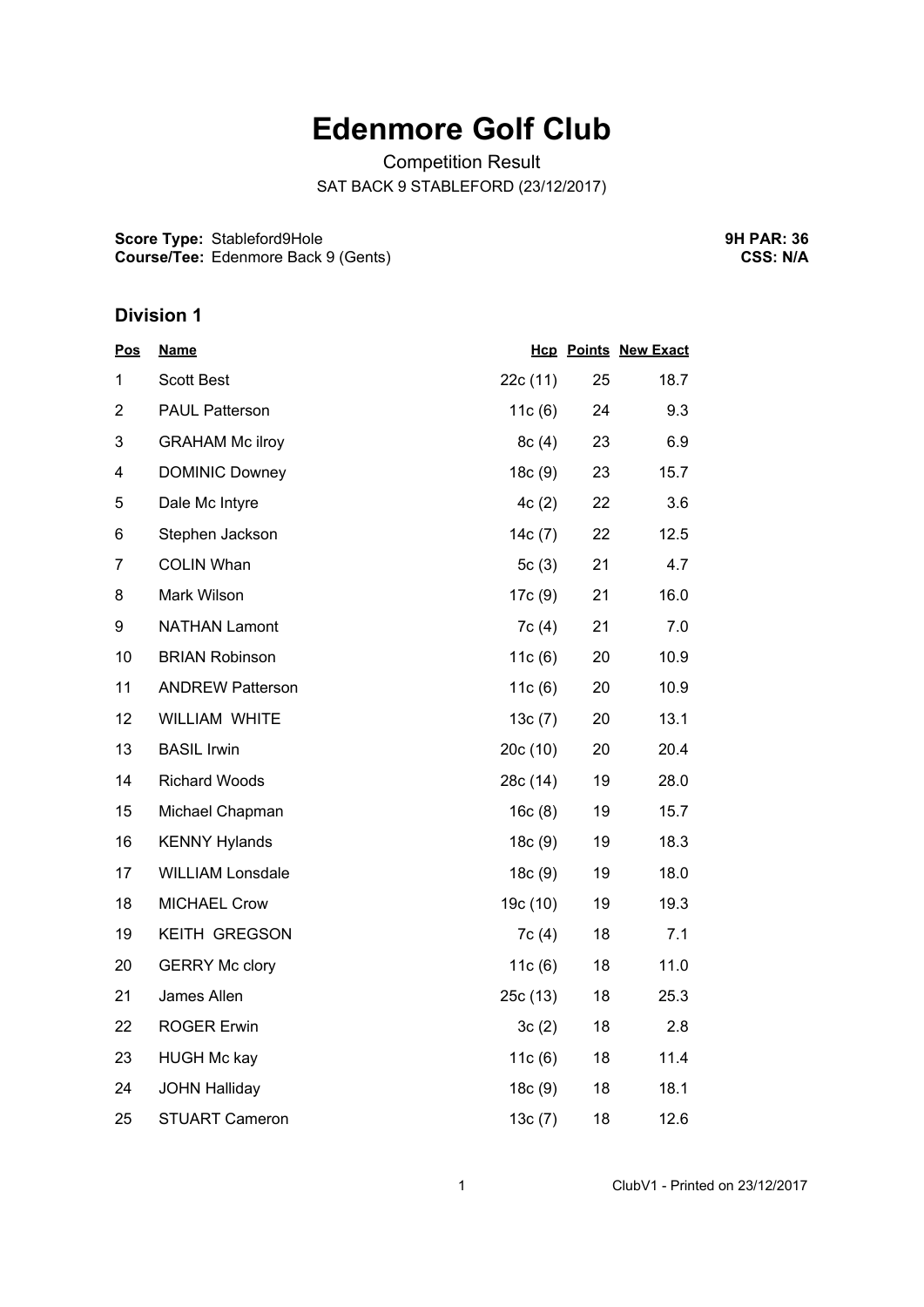## **Edenmore Golf Club**

Competition Result SAT BACK 9 STABLEFORD (23/12/2017)

**Score Type:** Stableford9Hole **Course/Tee:** Edenmore Back 9 (Gents) **9H PAR: 36 CSS: N/A**

## **Division 1**

| <u>Pos</u>     | <b>Name</b>             |          |    | <b>Hcp Points New Exact</b> |
|----------------|-------------------------|----------|----|-----------------------------|
| 1              | <b>Scott Best</b>       | 22c (11) | 25 | 18.7                        |
| $\overline{2}$ | <b>PAUL Patterson</b>   | 11c (6)  | 24 | 9.3                         |
| 3              | <b>GRAHAM Mc ilroy</b>  | 8c(4)    | 23 | 6.9                         |
| 4              | <b>DOMINIC Downey</b>   | 18c(9)   | 23 | 15.7                        |
| 5              | Dale Mc Intyre          | 4c(2)    | 22 | 3.6                         |
| 6              | Stephen Jackson         | 14c(7)   | 22 | 12.5                        |
| $\overline{7}$ | <b>COLIN Whan</b>       | 5 $c(3)$ | 21 | 4.7                         |
| 8              | Mark Wilson             | 17c(9)   | 21 | 16.0                        |
| 9              | <b>NATHAN Lamont</b>    | 7c(4)    | 21 | 7.0                         |
| 10             | <b>BRIAN Robinson</b>   | 11c(6)   | 20 | 10.9                        |
| 11             | <b>ANDREW Patterson</b> | 11c(6)   | 20 | 10.9                        |
| 12             | WILLIAM WHITE           | 13c(7)   | 20 | 13.1                        |
| 13             | <b>BASIL Irwin</b>      | 20c (10) | 20 | 20.4                        |
| 14             | <b>Richard Woods</b>    | 28c (14) | 19 | 28.0                        |
| 15             | Michael Chapman         | 16c(8)   | 19 | 15.7                        |
| 16             | <b>KENNY Hylands</b>    | 18c(9)   | 19 | 18.3                        |
| 17             | <b>WILLIAM Lonsdale</b> | 18c(9)   | 19 | 18.0                        |
| 18             | <b>MICHAEL Crow</b>     | 19c(10)  | 19 | 19.3                        |
| 19             | KEITH GREGSON           | 7c(4)    | 18 | 7.1                         |
| 20             | <b>GERRY Mc clory</b>   | 11c(6)   | 18 | 11.0                        |
| 21             | James Allen             | 25c(13)  | 18 | 25.3                        |
| 22             | <b>ROGER Erwin</b>      | 3c(2)    | 18 | 2.8                         |
| 23             | <b>HUGH Mc kay</b>      | 11c(6)   | 18 | 11.4                        |
| 24             | <b>JOHN Halliday</b>    | 18c(9)   | 18 | 18.1                        |
| 25             | <b>STUART Cameron</b>   | 13c(7)   | 18 | 12.6                        |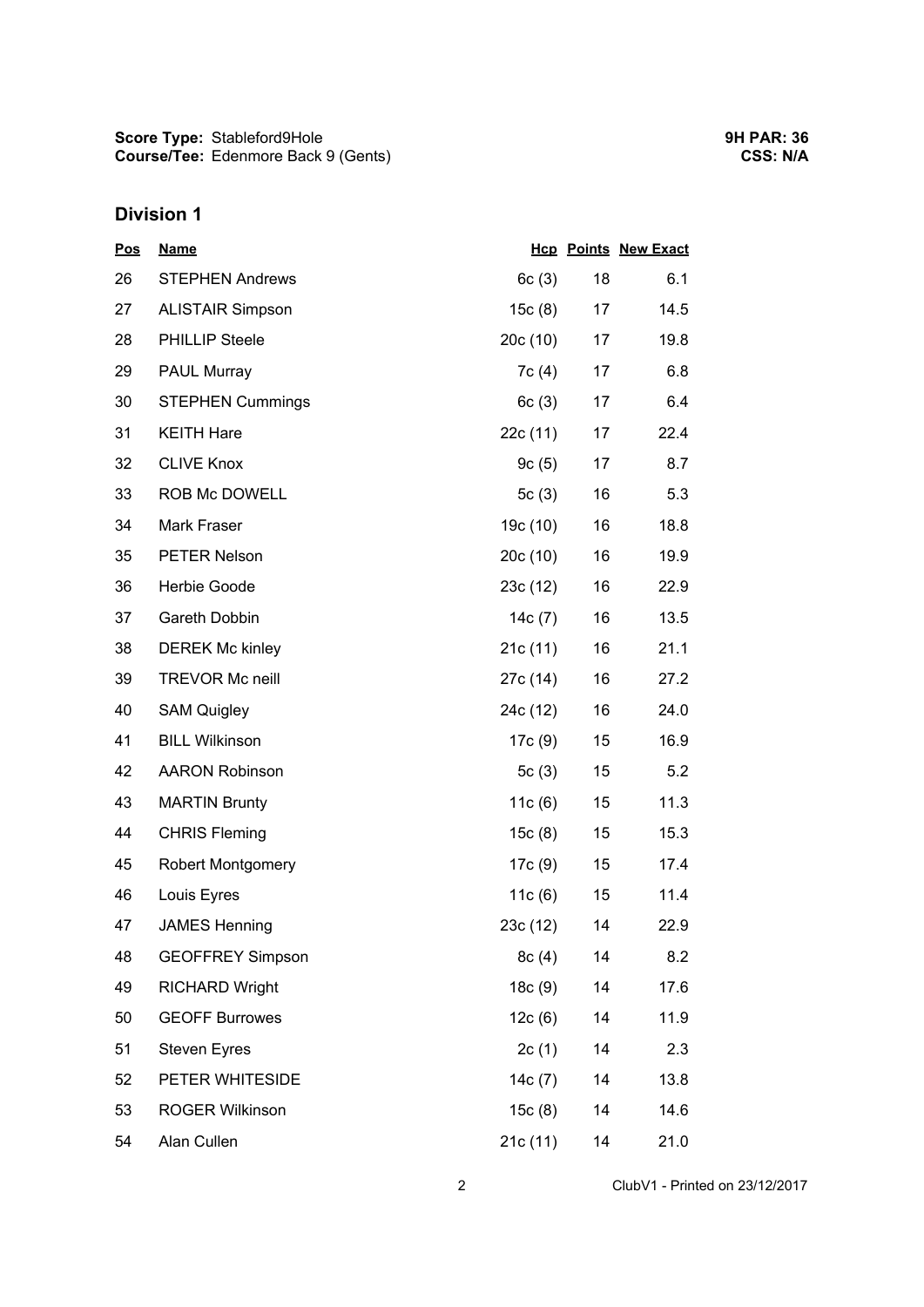**Score Type: Course/Tee:** Stableford9Hole Edenmore Back 9 (Gents)

## **Division 1**

| <b>Pos</b> | <b>Name</b>              |           |    | <b>Hcp Points New Exact</b> |
|------------|--------------------------|-----------|----|-----------------------------|
| 26         | <b>STEPHEN Andrews</b>   | 6c(3)     | 18 | 6.1                         |
| 27         | <b>ALISTAIR Simpson</b>  | 15c(8)    | 17 | 14.5                        |
| 28         | <b>PHILLIP Steele</b>    | 20c(10)   | 17 | 19.8                        |
| 29         | <b>PAUL Murray</b>       | 7c(4)     | 17 | 6.8                         |
| 30         | <b>STEPHEN Cummings</b>  | 6c(3)     | 17 | 6.4                         |
| 31         | <b>KEITH Hare</b>        | 22c (11)  | 17 | 22.4                        |
| 32         | <b>CLIVE Knox</b>        | 9c(5)     | 17 | 8.7                         |
| 33         | ROB Mc DOWELL            | 5 $c(3)$  | 16 | 5.3                         |
| 34         | Mark Fraser              | 19c (10)  | 16 | 18.8                        |
| 35         | <b>PETER Nelson</b>      | 20c(10)   | 16 | 19.9                        |
| 36         | Herbie Goode             | 23c (12)  | 16 | 22.9                        |
| 37         | Gareth Dobbin            | 14 $c(7)$ | 16 | 13.5                        |
| 38         | <b>DEREK Mc kinley</b>   | 21c(11)   | 16 | 21.1                        |
| 39         | <b>TREVOR Mc neill</b>   | 27c (14)  | 16 | 27.2                        |
| 40         | <b>SAM Quigley</b>       | 24c (12)  | 16 | 24.0                        |
| 41         | <b>BILL Wilkinson</b>    | 17c (9)   | 15 | 16.9                        |
| 42         | <b>AARON Robinson</b>    | 5c(3)     | 15 | 5.2                         |
| 43         | <b>MARTIN Brunty</b>     | 11 $c(6)$ | 15 | 11.3                        |
| 44         | <b>CHRIS Fleming</b>     | 15c(8)    | 15 | 15.3                        |
| 45         | <b>Robert Montgomery</b> | 17c(9)    | 15 | 17.4                        |
| 46         | Louis Eyres              | 11 $c(6)$ | 15 | 11.4                        |
| 47         | <b>JAMES Henning</b>     | 23c (12)  | 14 | 22.9                        |
| 48         | <b>GEOFFREY Simpson</b>  | 8c(4)     | 14 | 8.2                         |
| 49         | <b>RICHARD Wright</b>    | 18c(9)    | 14 | 17.6                        |
| 50         | <b>GEOFF Burrowes</b>    | 12c(6)    | 14 | 11.9                        |
| 51         | <b>Steven Eyres</b>      | 2c(1)     | 14 | 2.3                         |
| 52         | PETER WHITESIDE          | 14c(7)    | 14 | 13.8                        |
| 53         | <b>ROGER Wilkinson</b>   | 15c(8)    | 14 | 14.6                        |
| 54         | Alan Cullen              | 21c (11)  | 14 | 21.0                        |